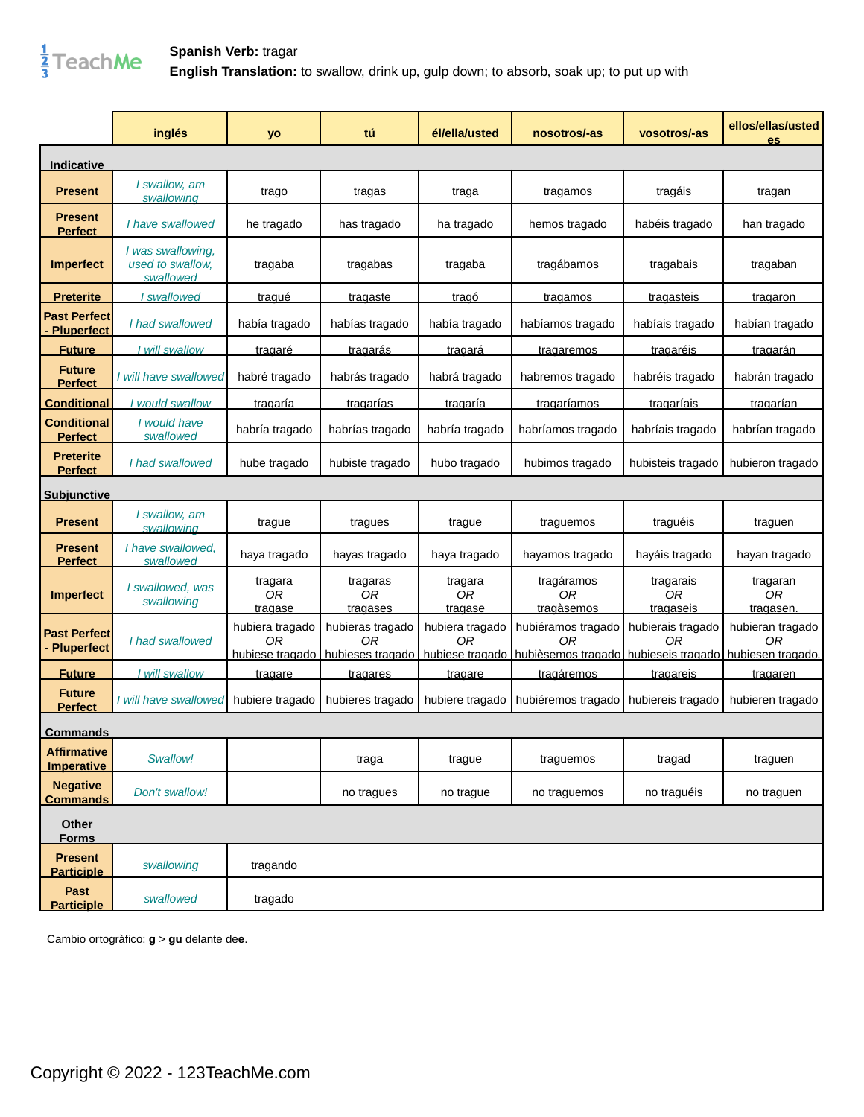

|                                          | inglés                                             | yo                                       | tú                                         | él/ella/usted                        | nosotros/-as                                                                                       | vosotros/-as                                    | ellos/ellas/usted<br>es                 |
|------------------------------------------|----------------------------------------------------|------------------------------------------|--------------------------------------------|--------------------------------------|----------------------------------------------------------------------------------------------------|-------------------------------------------------|-----------------------------------------|
| <b>Indicative</b>                        |                                                    |                                          |                                            |                                      |                                                                                                    |                                                 |                                         |
| <b>Present</b>                           | I swallow, am<br>swallowing                        | trago                                    | tragas                                     | traga                                | tragamos                                                                                           | tragáis                                         | tragan                                  |
| <b>Present</b><br><b>Perfect</b>         | I have swallowed                                   | he tragado                               | has tragado                                | ha tragado                           | hemos tragado                                                                                      | habéis tragado                                  | han tragado                             |
| <b>Imperfect</b>                         | I was swallowing,<br>used to swallow.<br>swallowed | tragaba                                  | tragabas                                   | tragaba                              | tragábamos                                                                                         | tragabais                                       | tragaban                                |
| <u>Preterite</u>                         | I swallowed                                        | <u>tragué</u>                            | <b>tragaste</b>                            | <u>tragó</u>                         | <b>tragamos</b>                                                                                    | tragasteis                                      | tragaron                                |
| <b>Past Perfect</b><br><b>Pluperfect</b> | I had swallowed                                    | había tragado                            | habías tragado                             | había tragado                        | habíamos tragado                                                                                   | habíais tragado                                 | habían tragado                          |
| <b>Future</b>                            | I will swallow                                     | <u>tragaré</u>                           | <u>tragarás</u>                            | <u>tragará</u>                       | tragaremos                                                                                         | <b>tragaréis</b>                                | tragarán                                |
| <b>Future</b><br><b>Perfect</b>          | I will have swallowed                              | habré tragado                            | habrás tragado                             | habrá tragado                        | habremos tragado                                                                                   | habréis tragado                                 | habrán tragado                          |
| Conditional                              | I would swallow                                    | <u>tragaría</u>                          | <b>tragarías</b>                           | tragaría                             | tragaríamos                                                                                        | <b>tragaríais</b>                               | tragarían                               |
| <b>Conditional</b><br><b>Perfect</b>     | I would have<br>swallowed                          | habría tragado                           | habrías tragado                            | habría tragado                       | habríamos tragado                                                                                  | habríais tragado                                | habrían tragado                         |
| <b>Preterite</b><br><b>Perfect</b>       | I had swallowed                                    | hube tragado                             | hubiste tragado                            | hubo tragado                         | hubimos tragado                                                                                    | hubisteis tragado                               | hubieron tragado                        |
| <b>Subjunctive</b>                       |                                                    |                                          |                                            |                                      |                                                                                                    |                                                 |                                         |
| <b>Present</b>                           | I swallow, am<br>swallowing                        | trague                                   | tragues                                    | trague                               | traguemos                                                                                          | traguéis                                        | traguen                                 |
| <b>Present</b><br><b>Perfect</b>         | I have swallowed.<br>swallowed                     | haya tragado                             | hayas tragado                              | haya tragado                         | hayamos tragado                                                                                    | hayáis tragado                                  | hayan tragado                           |
| <b>Imperfect</b>                         | I swallowed, was<br>swallowing                     | tragara<br>0 <sub>R</sub><br>tragase     | tragaras<br>0 <sub>R</sub><br>tragases     | tragara<br>0 <sub>R</sub><br>tragase | tragáramos<br>0 <sub>R</sub><br>tragàsemos                                                         | tragarais<br>0 <sub>R</sub><br><b>tragaseis</b> | tragaran<br>0 <sub>R</sub><br>tragasen. |
| <b>Past Perfect</b><br><b>Pluperfect</b> | I had swallowed                                    | hubiera tragado<br>ΟR<br>hubiese tragado | hubieras tragado<br>ΟR<br>hubieses tragado | hubiera tragado<br>ΩR                | hubiéramos tragado<br>ΟR<br>hubiese tragado hubièsemos tragado hubieseis tragado hubiesen tragado. | hubierais tragado<br>ОR                         | hubieran tragado<br>ΟR                  |
| <b>Future</b>                            | <u>l will swallow</u>                              | tragare                                  | <b>tragares</b>                            | <b>tragare</b>                       | tragáremos                                                                                         | <b>tragareis</b>                                | tragaren                                |
| <b>Future</b><br><b>Perfect</b>          | I will have swallowed                              | hubiere tragado                          | hubieres tragado                           | hubiere tragado                      | hubiéremos tragado                                                                                 | hubiereis tragado                               | hubieren tragado                        |
| <b>Commands</b>                          |                                                    |                                          |                                            |                                      |                                                                                                    |                                                 |                                         |
| <b>Affirmative</b><br><b>Imperative</b>  | Swallow!                                           |                                          | traga                                      | trague                               | traguemos                                                                                          | tragad                                          | traguen                                 |
| <b>Negative</b><br><b>Commands</b>       | Don't swallow!                                     |                                          | no tragues                                 | no trague                            | no traguemos                                                                                       | no traguéis                                     | no traguen                              |
| Other<br><b>Forms</b>                    |                                                    |                                          |                                            |                                      |                                                                                                    |                                                 |                                         |
| <b>Present</b><br><b>Participle</b>      | swallowing                                         | tragando                                 |                                            |                                      |                                                                                                    |                                                 |                                         |
| Past<br><b>Participle</b>                | swallowed                                          | tragado                                  |                                            |                                      |                                                                                                    |                                                 |                                         |

Cambio ortogràfico: **g** > **gu** delante de**e**.